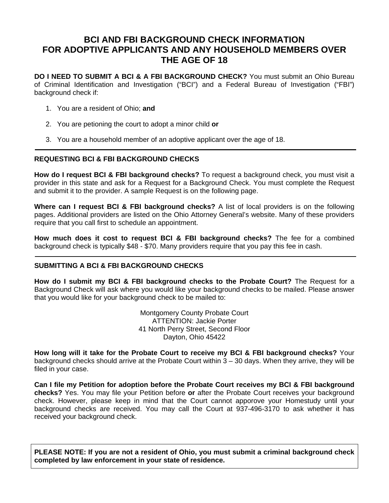# **BCI AND FBI BACKGROUND CHECK INFORMATION FOR ADOPTIVE APPLICANTS AND ANY HOUSEHOLD MEMBERS OVER THE AGE OF 18**

**DO I NEED TO SUBMIT A BCI & A FBI BACKGROUND CHECK?** You must submit an Ohio Bureau of Criminal Identification and Investigation ("BCI") and a Federal Bureau of Investigation ("FBI") background check if:

- 1. You are a resident of Ohio; **and**
- 2. You are petioning the court to adopt a minor child **or**
- 3. You are a household member of an adoptive applicant over the age of 18.

#### **REQUESTING BCI & FBI BACKGROUND CHECKS**

**How do I request BCI & FBI background checks?** To request a background check, you must visit a provider in this state and ask for a Request for a Background Check. You must complete the Request and submit it to the provider. A sample Request is on the following page.

**Where can I request BCI & FBI background checks?** A list of local providers is on the following pages. Additional providers are listed on the Ohio Attorney General's website. Many of these providers require that you call first to schedule an appointment.

**How much does it cost to request BCI & FBI background checks?** The fee for a combined background check is typically \$48 - \$70. Many providers require that you pay this fee in cash.

#### **SUBMITTING A BCI & FBI BACKGROUND CHECKS**

**How do I submit my BCI & FBI background checks to the Probate Court?** The Request for a Background Check will ask where you would like your background checks to be mailed. Please answer that you would like for your background check to be mailed to:

> Montgomery County Probate Court ATTENTION: Jackie Porter 41 North Perry Street, Second Floor Dayton, Ohio 45422

**How long will it take for the Probate Court to receive my BCI & FBI background checks?** Your background checks should arrive at the Probate Court within 3 – 30 days. When they arrive, they will be filed in your case.

**Can I file my Petition for adoption before the Probate Court receives my BCI & FBI background checks?** Yes. You may file your Petition before **or** after the Probate Court receives your background check. However, please keep in mind that the Court cannot apporove your Homestudy until your background checks are received. You may call the Court at 937-496-3170 to ask whether it has received your background check.

**PLEASE NOTE: If you are not a resident of Ohio, you must submit a criminal background check completed by law enforcement in your state of residence.**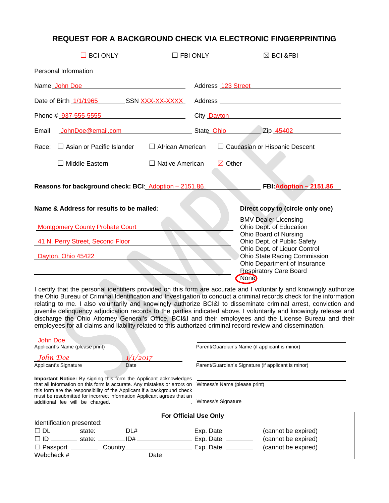### **REQUEST FOR A BACKGROUND CHECK VIA ELECTRONIC FINGERPRINTING**

| <b>BCI ONLY</b>                                                                                  | $\Box$ FBI ONLY                  | $\boxtimes$ BCI &FBI                                                                                                                                                                                                                                    |  |  |
|--------------------------------------------------------------------------------------------------|----------------------------------|---------------------------------------------------------------------------------------------------------------------------------------------------------------------------------------------------------------------------------------------------------|--|--|
| Personal Information                                                                             |                                  |                                                                                                                                                                                                                                                         |  |  |
| Name John Doe                                                                                    |                                  | Address 123 Street Materials                                                                                                                                                                                                                            |  |  |
| Date of Birth 1/1/1965 SSN XXX-XX-XXXX                                                           |                                  |                                                                                                                                                                                                                                                         |  |  |
| Phone # 937-555-5555                                                                             |                                  | City Dayton <b>Dayton City Dayton</b>                                                                                                                                                                                                                   |  |  |
| JohnDoe@email.com<br>Email                                                                       |                                  | State Ohio<br>Zip 45402                                                                                                                                                                                                                                 |  |  |
| $\Box$ Asian or Pacific Islander<br>Race:                                                        | $\Box$ African American          | $\Box$ Caucasian or Hispanic Descent                                                                                                                                                                                                                    |  |  |
| Middle Eastern                                                                                   | $\Box$ Native American           | $\boxtimes$ Other                                                                                                                                                                                                                                       |  |  |
| Reasons for background check: BCI: Adoption - 2151.86<br>FBI: Adoption - 2151.86                 |                                  |                                                                                                                                                                                                                                                         |  |  |
| Name & Address for results to be mailed:                                                         | Direct copy to (circle only one) |                                                                                                                                                                                                                                                         |  |  |
| <b>Montgomery County Probate Court</b><br>41 N. Perry Street, Second Floor<br>Dayton, Ohio 45422 |                                  | <b>BMV Dealer Licensing</b><br>Ohio Dept. of Education<br>Ohio Board of Nursing<br>Ohio Dept. of Public Safety<br>Ohio Dept. of Liquor Control<br>Ohio State Racing Commission<br>Ohio Department of Insurance<br><b>Respiratory Care Board</b><br>None |  |  |
|                                                                                                  |                                  |                                                                                                                                                                                                                                                         |  |  |

I certify that the personal identifiers provided on this form are accurate and I voluntarily and knowingly authorize the Ohio Bureau of Criminal Identification and Investigation to conduct a criminal records check for the information relating to me. I also voluntarily and knowingly authorize BCI&I to disseminate criminal arrest, conviction and juvenile delinquency adjudication records to the parties indicated above. I voluntarily and knowingly release and discharge the Ohio Attorney General's Office, BCI&I and their employees and the License Bureau and their employees for all claims and liability related to this authorized criminal record review and dissemination.

| John Doe                                                                                                                                                                                                                                                                                                                                |  |                                                |                                                     |                     |  |  |
|-----------------------------------------------------------------------------------------------------------------------------------------------------------------------------------------------------------------------------------------------------------------------------------------------------------------------------------------|--|------------------------------------------------|-----------------------------------------------------|---------------------|--|--|
| Applicant's Name (please print)                                                                                                                                                                                                                                                                                                         |  | Parent/Guardian's Name (if applicant is minor) |                                                     |                     |  |  |
| John Doe                                                                                                                                                                                                                                                                                                                                |  | 1/1/2017                                       |                                                     |                     |  |  |
| Applicant's Signature                                                                                                                                                                                                                                                                                                                   |  | Date                                           | Parent/Guardian's Signature (if applicant is minor) |                     |  |  |
| <b>Important Notice:</b> By signing this form the Applicant acknowledges<br>that all information on this form is accurate. Any mistakes or errors on Witness's Name (please print)<br>this form are the responsibility of the Applicant if a background check<br>must be resubmitted for incorrect information Applicant agrees that an |  |                                                |                                                     |                     |  |  |
| additional fee will be charged.                                                                                                                                                                                                                                                                                                         |  | Witness's Signature                            |                                                     |                     |  |  |
| <b>For Official Use Only</b>                                                                                                                                                                                                                                                                                                            |  |                                                |                                                     |                     |  |  |
| Identification presented:                                                                                                                                                                                                                                                                                                               |  |                                                |                                                     |                     |  |  |
|                                                                                                                                                                                                                                                                                                                                         |  |                                                | Exp. Date $\_\_$                                    | (cannot be expired) |  |  |
|                                                                                                                                                                                                                                                                                                                                         |  |                                                |                                                     | (cannot be expired) |  |  |
|                                                                                                                                                                                                                                                                                                                                         |  |                                                |                                                     | (cannot be expired) |  |  |
|                                                                                                                                                                                                                                                                                                                                         |  | Date                                           |                                                     |                     |  |  |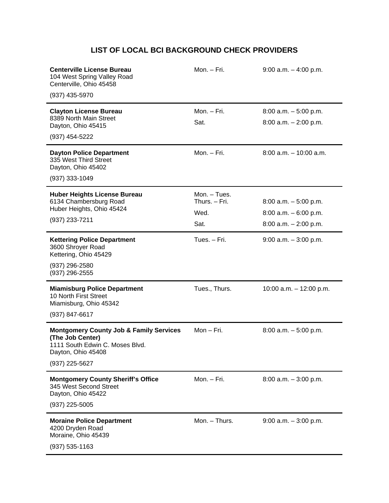## **LIST OF LOCAL BCI BACKGROUND CHECK PROVIDERS**

| <b>Centerville License Bureau</b><br>104 West Spring Valley Road<br>Centerville, Ohio 45458<br>(937) 435-5970                                     | Mon. - Fri.                   | $9:00$ a.m. $-4:00$ p.m.                             |
|---------------------------------------------------------------------------------------------------------------------------------------------------|-------------------------------|------------------------------------------------------|
| <b>Clayton License Bureau</b><br>8389 North Main Street<br>Dayton, Ohio 45415                                                                     | Mon. - Fri.<br>Sat.           | $8:00$ a.m. $-5:00$ p.m.<br>$8:00$ a.m. $-2:00$ p.m. |
| (937) 454-5222                                                                                                                                    |                               |                                                      |
| <b>Dayton Police Department</b><br>335 West Third Street<br>Dayton, Ohio 45402<br>$(937)$ 333-1049                                                | Mon. - Fri.                   | $8:00$ a.m. $-10:00$ a.m.                            |
| <b>Huber Heights License Bureau</b><br>6134 Chambersburg Road                                                                                     | Mon. - Tues.<br>Thurs. - Fri. | $8:00$ a.m. $-5:00$ p.m.                             |
| Huber Heights, Ohio 45424<br>(937) 233-7211                                                                                                       | Wed.                          | $8:00$ a.m. $-6:00$ p.m.                             |
|                                                                                                                                                   | Sat.                          | $8:00$ a.m. $-2:00$ p.m.                             |
| <b>Kettering Police Department</b><br>3600 Shroyer Road<br>Kettering, Ohio 45429<br>(937) 296-2580<br>(937) 296-2555                              | Tues. - Fri.                  | $9:00$ a.m. $-3:00$ p.m.                             |
| <b>Miamisburg Police Department</b><br>10 North First Street<br>Miamisburg, Ohio 45342<br>(937) 847-6617                                          | Tues., Thurs.                 | 10:00 a.m. $-$ 12:00 p.m.                            |
| <b>Montgomery County Job &amp; Family Services</b><br>(The Job Center)<br>1111 South Edwin C. Moses Blvd.<br>Dayton, Ohio 45408<br>(937) 225-5627 | Mon-Fri.                      | $8:00$ a.m. $-5:00$ p.m.                             |
| <b>Montgomery County Sheriff's Office</b><br>345 West Second Street<br>Dayton, Ohio 45422<br>(937) 225-5005                                       | Mon. - Fri.                   | $8:00$ a.m. $-3:00$ p.m.                             |
| <b>Moraine Police Department</b><br>4200 Dryden Road<br>Moraine, Ohio 45439<br>(937) 535-1163                                                     | Mon. - Thurs.                 | $9:00$ a.m. $-3:00$ p.m.                             |